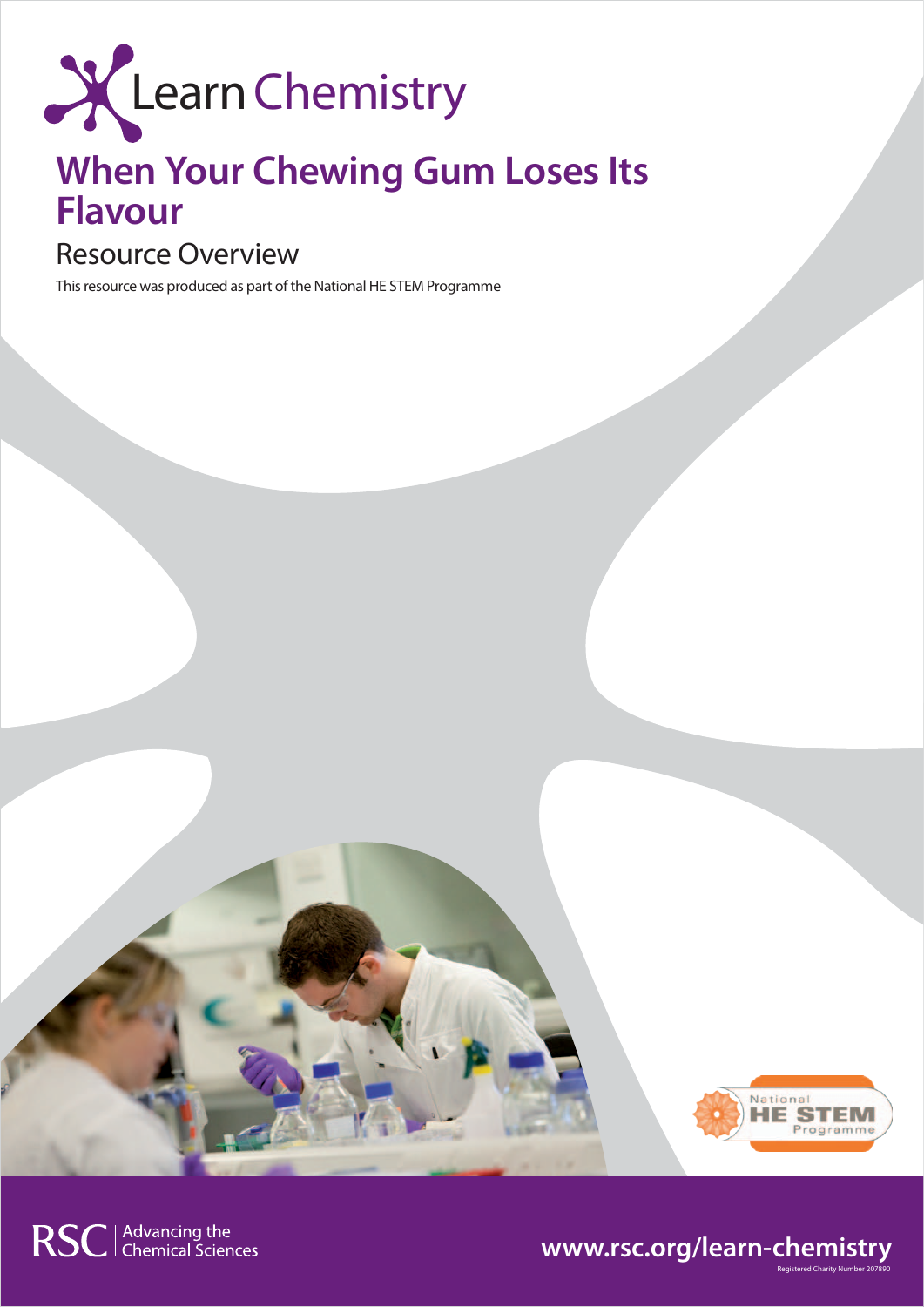

# **When Your Chewing Gum Loses Its Flavour**

### Resource Overview

This resource was produced as part of the National HE STEM Programme



## **www.rsc.org/learn-chemistry**

RSC | Advancing the<br>C | Chemical Sciences

Registered Charity Number 207890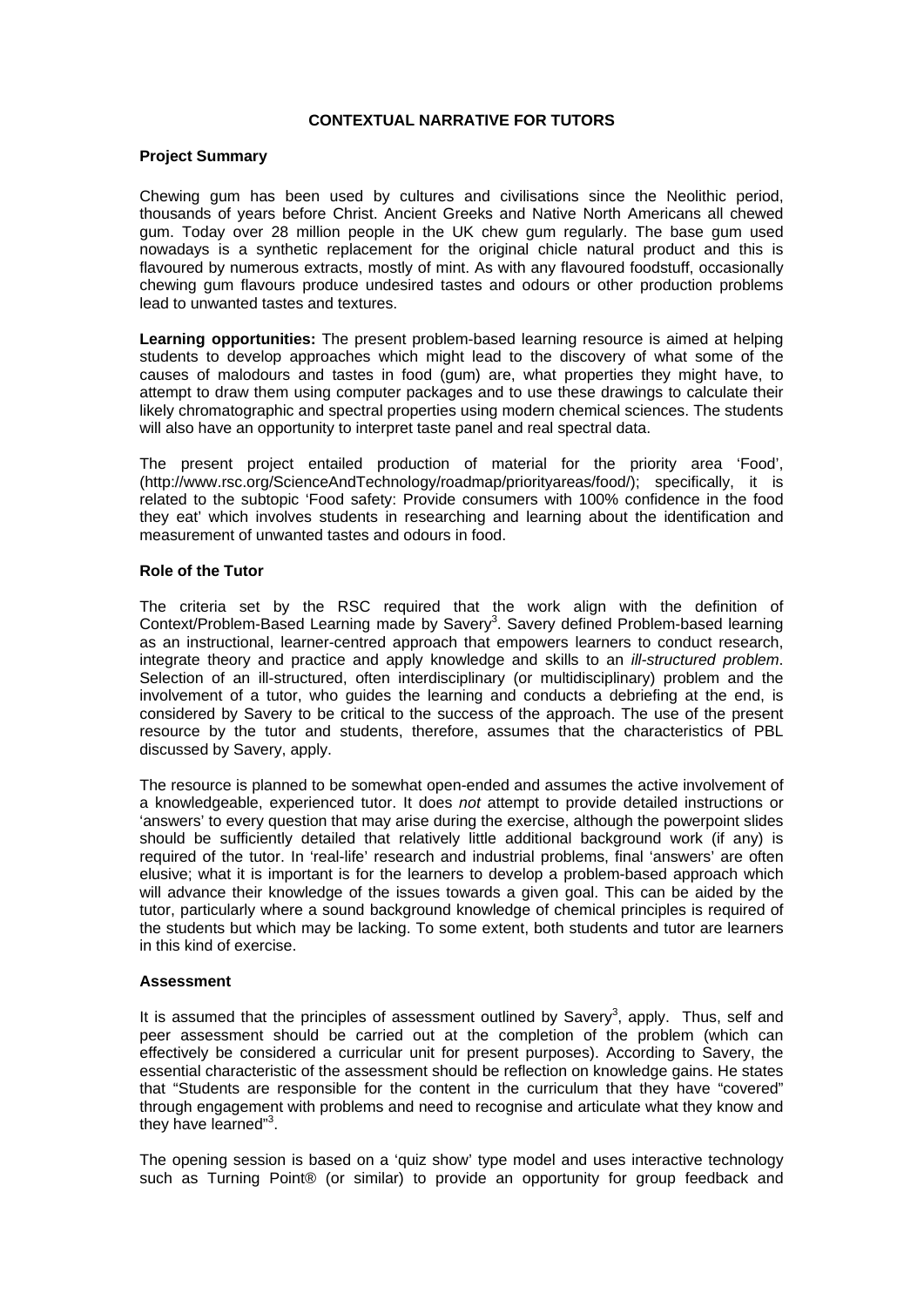#### **CONTEXTUAL NARRATIVE FOR TUTORS**

#### **Project Summary**

Chewing gum has been used by cultures and civilisations since the Neolithic period, thousands of years before Christ. Ancient Greeks and Native North Americans all chewed gum. Today over 28 million people in the UK chew gum regularly. The base gum used nowadays is a synthetic replacement for the original chicle natural product and this is flavoured by numerous extracts, mostly of mint. As with any flavoured foodstuff, occasionally chewing gum flavours produce undesired tastes and odours or other production problems lead to unwanted tastes and textures.

**Learning opportunities:** The present problem-based learning resource is aimed at helping students to develop approaches which might lead to the discovery of what some of the causes of malodours and tastes in food (gum) are, what properties they might have, to attempt to draw them using computer packages and to use these drawings to calculate their likely chromatographic and spectral properties using modern chemical sciences. The students will also have an opportunity to interpret taste panel and real spectral data.

The present project entailed production of material for the priority area 'Food', (http://www.rsc.org/ScienceAndTechnology/roadmap/priorityareas/food/); specifically, it is related to the subtopic 'Food safety: Provide consumers with 100% confidence in the food they eat' which involves students in researching and learning about the identification and measurement of unwanted tastes and odours in food.

#### **Role of the Tutor**

The criteria set by the RSC required that the work align with the definition of Context/Problem-Based Learning made by Savery<sup>3</sup>. Savery defined Problem-based learning as an instructional, learner-centred approach that empowers learners to conduct research, integrate theory and practice and apply knowledge and skills to an *ill-structured problem*. Selection of an ill-structured, often interdisciplinary (or multidisciplinary) problem and the involvement of a tutor, who guides the learning and conducts a debriefing at the end, is considered by Savery to be critical to the success of the approach. The use of the present resource by the tutor and students, therefore, assumes that the characteristics of PBL discussed by Savery, apply.

The resource is planned to be somewhat open-ended and assumes the active involvement of a knowledgeable, experienced tutor. It does *not* attempt to provide detailed instructions or 'answers' to every question that may arise during the exercise, although the powerpoint slides should be sufficiently detailed that relatively little additional background work (if any) is required of the tutor. In 'real-life' research and industrial problems, final 'answers' are often elusive; what it is important is for the learners to develop a problem-based approach which will advance their knowledge of the issues towards a given goal. This can be aided by the tutor, particularly where a sound background knowledge of chemical principles is required of the students but which may be lacking. To some extent, both students and tutor are learners in this kind of exercise.

#### **Assessment**

It is assumed that the principles of assessment outlined by Savery<sup>3</sup>, apply. Thus, self and peer assessment should be carried out at the completion of the problem (which can effectively be considered a curricular unit for present purposes). According to Savery, the essential characteristic of the assessment should be reflection on knowledge gains. He states that "Students are responsible for the content in the curriculum that they have "covered" through engagement with problems and need to recognise and articulate what they know and they have learned"<sup>3</sup>.

The opening session is based on a 'quiz show' type model and uses interactive technology such as Turning Point® (or similar) to provide an opportunity for group feedback and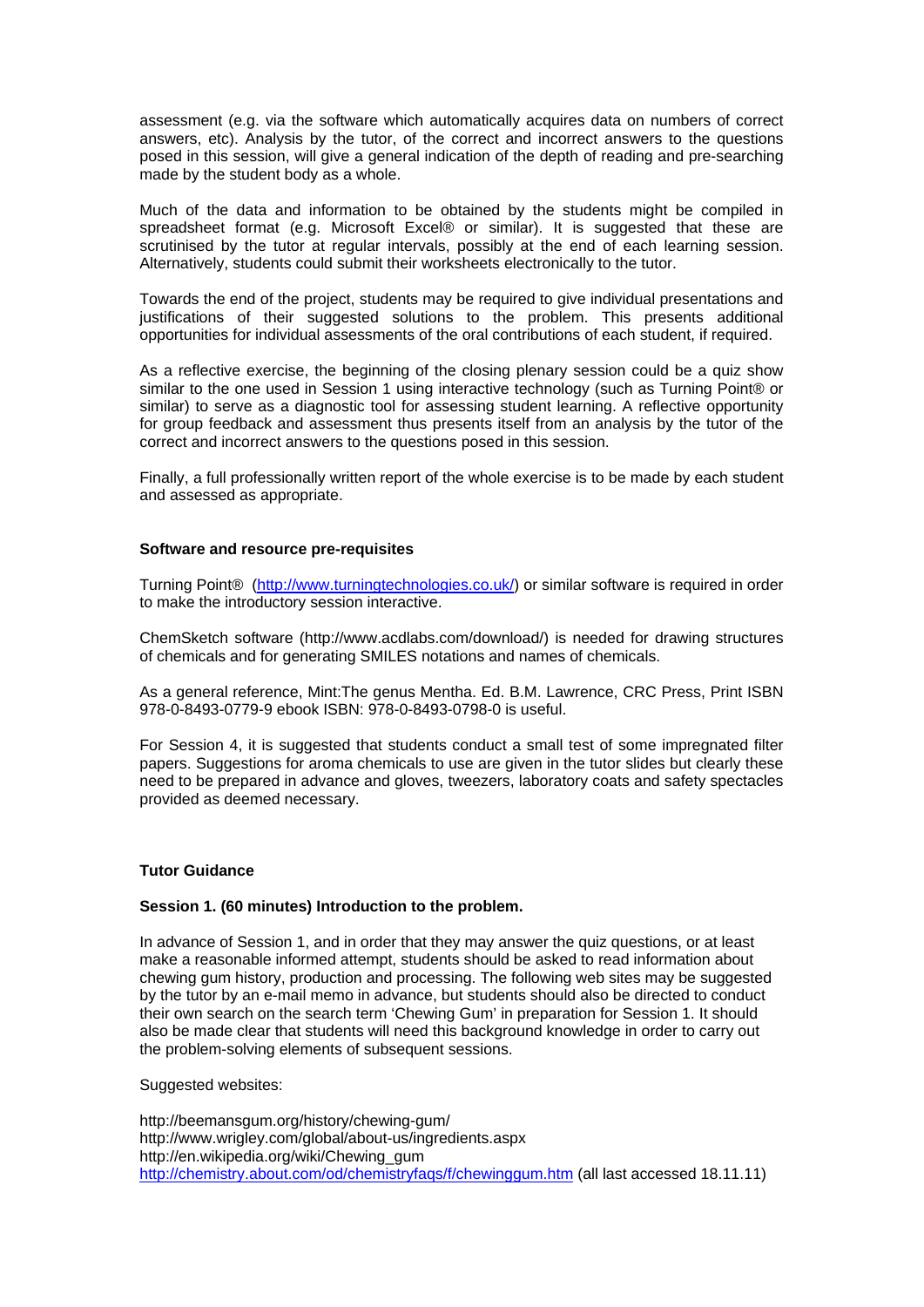assessment (e.g. via the software which automatically acquires data on numbers of correct answers, etc). Analysis by the tutor, of the correct and incorrect answers to the questions posed in this session, will give a general indication of the depth of reading and pre-searching made by the student body as a whole.

Much of the data and information to be obtained by the students might be compiled in spreadsheet format (e.g. Microsoft Excel® or similar). It is suggested that these are scrutinised by the tutor at regular intervals, possibly at the end of each learning session. Alternatively, students could submit their worksheets electronically to the tutor.

Towards the end of the project, students may be required to give individual presentations and justifications of their suggested solutions to the problem. This presents additional opportunities for individual assessments of the oral contributions of each student, if required.

As a reflective exercise, the beginning of the closing plenary session could be a quiz show similar to the one used in Session 1 using interactive technology (such as Turning Point® or similar) to serve as a diagnostic tool for assessing student learning. A reflective opportunity for group feedback and assessment thus presents itself from an analysis by the tutor of the correct and incorrect answers to the questions posed in this session.

Finally, a full professionally written report of the whole exercise is to be made by each student and assessed as appropriate.

#### **Software and resource pre-requisites**

Turning Point® (http://www.turningtechnologies.co.uk/) or similar software is required in order to make the introductory session interactive.

ChemSketch software (http://www.acdlabs.com/download/) is needed for drawing structures of chemicals and for generating SMILES notations and names of chemicals.

As a general reference, Mint:The genus Mentha. Ed. B.M. Lawrence, CRC Press, Print ISBN 978-0-8493-0779-9 ebook ISBN: 978-0-8493-0798-0 is useful.

For Session 4, it is suggested that students conduct a small test of some impregnated filter papers. Suggestions for aroma chemicals to use are given in the tutor slides but clearly these need to be prepared in advance and gloves, tweezers, laboratory coats and safety spectacles provided as deemed necessary.

#### **Tutor Guidance**

#### **Session 1. (60 minutes) Introduction to the problem.**

In advance of Session 1, and in order that they may answer the quiz questions, or at least make a reasonable informed attempt, students should be asked to read information about chewing gum history, production and processing. The following web sites may be suggested by the tutor by an e-mail memo in advance, but students should also be directed to conduct their own search on the search term 'Chewing Gum' in preparation for Session 1. It should also be made clear that students will need this background knowledge in order to carry out the problem-solving elements of subsequent sessions.

#### Suggested websites:

http://beemansgum.org/history/chewing-gum/ http://www.wrigley.com/global/about-us/ingredients.aspx http://en.wikipedia.org/wiki/Chewing\_gum http://chemistry.about.com/od/chemistryfaqs/f/chewinggum.htm (all last accessed 18.11.11)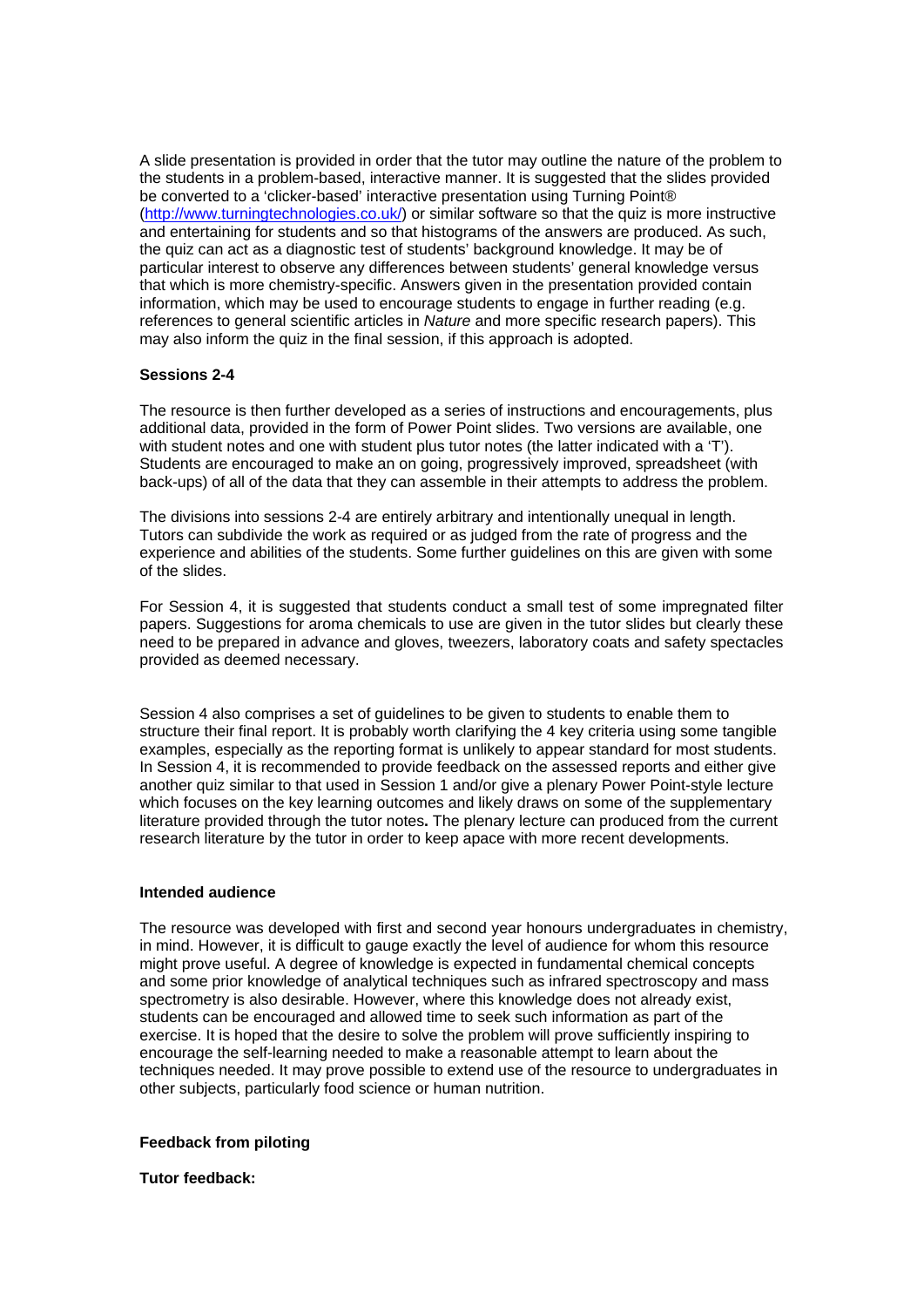A slide presentation is provided in order that the tutor may outline the nature of the problem to the students in a problem-based, interactive manner. It is suggested that the slides provided be converted to a 'clicker-based' interactive presentation using Turning Point® (http://www.turningtechnologies.co.uk/) or similar software so that the quiz is more instructive and entertaining for students and so that histograms of the answers are produced. As such, the quiz can act as a diagnostic test of students' background knowledge. It may be of particular interest to observe any differences between students' general knowledge versus that which is more chemistry-specific. Answers given in the presentation provided contain information, which may be used to encourage students to engage in further reading (e.g. references to general scientific articles in *Nature* and more specific research papers). This may also inform the quiz in the final session, if this approach is adopted.

#### **Sessions 2-4**

The resource is then further developed as a series of instructions and encouragements, plus additional data, provided in the form of Power Point slides. Two versions are available, one with student notes and one with student plus tutor notes (the latter indicated with a 'T'). Students are encouraged to make an on going, progressively improved, spreadsheet (with back-ups) of all of the data that they can assemble in their attempts to address the problem.

The divisions into sessions 2-4 are entirely arbitrary and intentionally unequal in length. Tutors can subdivide the work as required or as judged from the rate of progress and the experience and abilities of the students. Some further guidelines on this are given with some of the slides.

For Session 4, it is suggested that students conduct a small test of some impregnated filter papers. Suggestions for aroma chemicals to use are given in the tutor slides but clearly these need to be prepared in advance and gloves, tweezers, laboratory coats and safety spectacles provided as deemed necessary.

Session 4 also comprises a set of guidelines to be given to students to enable them to structure their final report. It is probably worth clarifying the 4 key criteria using some tangible examples, especially as the reporting format is unlikely to appear standard for most students. In Session 4, it is recommended to provide feedback on the assessed reports and either give another quiz similar to that used in Session 1 and/or give a plenary Power Point-style lecture which focuses on the key learning outcomes and likely draws on some of the supplementary literature provided through the tutor notes**.** The plenary lecture can produced from the current research literature by the tutor in order to keep apace with more recent developments.

#### **Intended audience**

The resource was developed with first and second year honours undergraduates in chemistry, in mind. However, it is difficult to gauge exactly the level of audience for whom this resource might prove useful. A degree of knowledge is expected in fundamental chemical concepts and some prior knowledge of analytical techniques such as infrared spectroscopy and mass spectrometry is also desirable. However, where this knowledge does not already exist, students can be encouraged and allowed time to seek such information as part of the exercise. It is hoped that the desire to solve the problem will prove sufficiently inspiring to encourage the self-learning needed to make a reasonable attempt to learn about the techniques needed. It may prove possible to extend use of the resource to undergraduates in other subjects, particularly food science or human nutrition.

#### **Feedback from piloting**

#### **Tutor feedback:**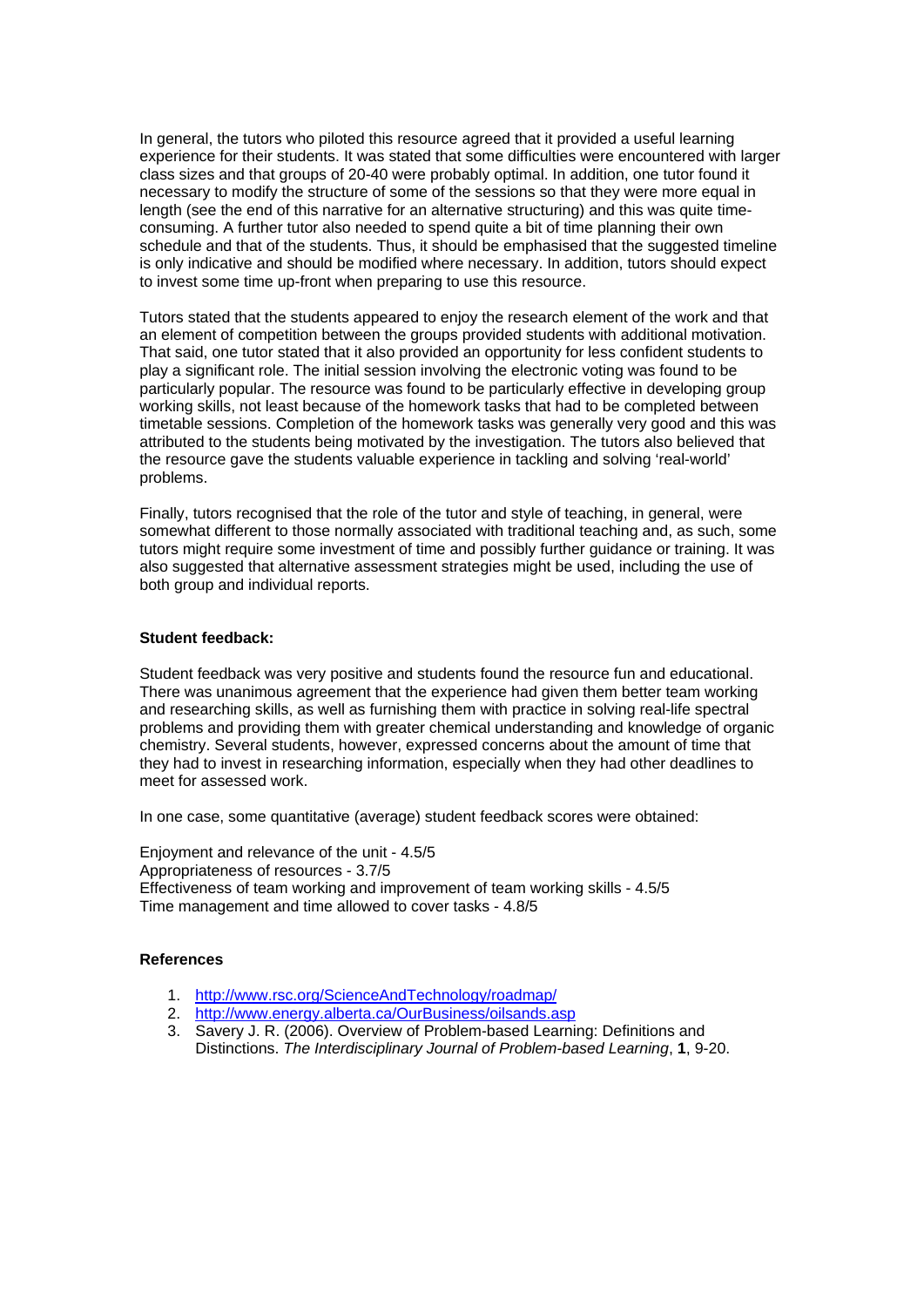In general, the tutors who piloted this resource agreed that it provided a useful learning experience for their students. It was stated that some difficulties were encountered with larger class sizes and that groups of 20-40 were probably optimal. In addition, one tutor found it necessary to modify the structure of some of the sessions so that they were more equal in length (see the end of this narrative for an alternative structuring) and this was quite timeconsuming. A further tutor also needed to spend quite a bit of time planning their own schedule and that of the students. Thus, it should be emphasised that the suggested timeline is only indicative and should be modified where necessary. In addition, tutors should expect to invest some time up-front when preparing to use this resource.

Tutors stated that the students appeared to enjoy the research element of the work and that an element of competition between the groups provided students with additional motivation. That said, one tutor stated that it also provided an opportunity for less confident students to play a significant role. The initial session involving the electronic voting was found to be particularly popular. The resource was found to be particularly effective in developing group working skills, not least because of the homework tasks that had to be completed between timetable sessions. Completion of the homework tasks was generally very good and this was attributed to the students being motivated by the investigation. The tutors also believed that the resource gave the students valuable experience in tackling and solving 'real-world' problems.

Finally, tutors recognised that the role of the tutor and style of teaching, in general, were somewhat different to those normally associated with traditional teaching and, as such, some tutors might require some investment of time and possibly further guidance or training. It was also suggested that alternative assessment strategies might be used, including the use of both group and individual reports.

#### **Student feedback:**

Student feedback was very positive and students found the resource fun and educational. There was unanimous agreement that the experience had given them better team working and researching skills, as well as furnishing them with practice in solving real-life spectral problems and providing them with greater chemical understanding and knowledge of organic chemistry. Several students, however, expressed concerns about the amount of time that they had to invest in researching information, especially when they had other deadlines to meet for assessed work.

In one case, some quantitative (average) student feedback scores were obtained:

Enjoyment and relevance of the unit - 4.5/5 Appropriateness of resources - 3.7/5 Effectiveness of team working and improvement of team working skills - 4.5/5 Time management and time allowed to cover tasks - 4.8/5

#### **References**

- 1. http://www.rsc.org/ScienceAndTechnology/roadmap/
- 2. http://www.energy.alberta.ca/OurBusiness/oilsands.asp
- 3. Savery J. R. (2006). Overview of Problem-based Learning: Definitions and Distinctions. *The Interdisciplinary Journal of Problem-based Learning*, **1**, 9-20.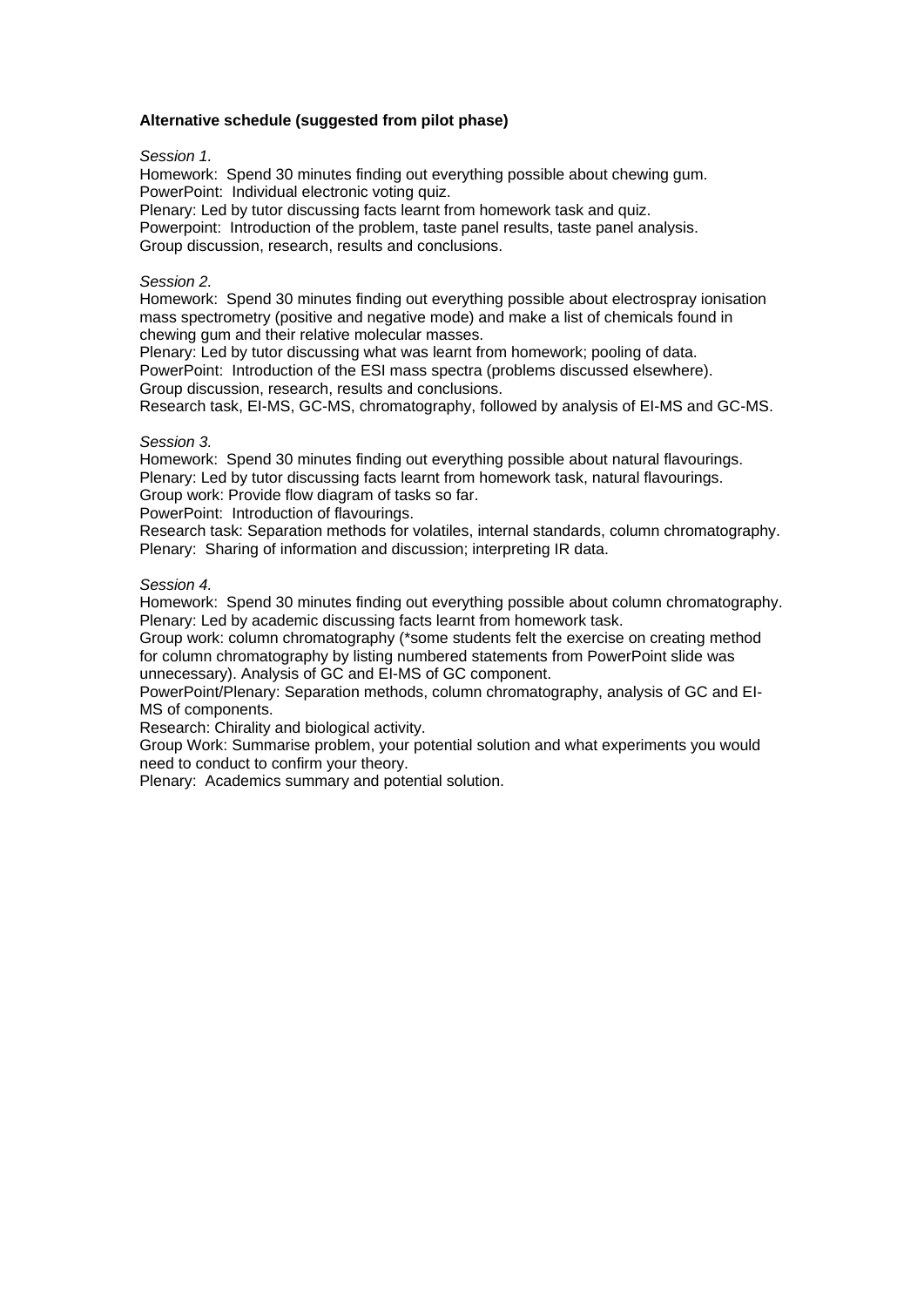#### **Alternative schedule (suggested from pilot phase)**

#### *Session 1.*

Homework: Spend 30 minutes finding out everything possible about chewing gum. PowerPoint: Individual electronic voting quiz.

Plenary: Led by tutor discussing facts learnt from homework task and quiz.

Powerpoint: Introduction of the problem, taste panel results, taste panel analysis. Group discussion, research, results and conclusions.

#### *Session 2.*

Homework: Spend 30 minutes finding out everything possible about electrospray ionisation mass spectrometry (positive and negative mode) and make a list of chemicals found in chewing gum and their relative molecular masses.

Plenary: Led by tutor discussing what was learnt from homework; pooling of data. PowerPoint: Introduction of the ESI mass spectra (problems discussed elsewhere). Group discussion, research, results and conclusions.

Research task, EI-MS, GC-MS, chromatography, followed by analysis of EI-MS and GC-MS.

#### *Session 3.*

Homework: Spend 30 minutes finding out everything possible about natural flavourings. Plenary: Led by tutor discussing facts learnt from homework task, natural flavourings. Group work: Provide flow diagram of tasks so far.

PowerPoint: Introduction of flavourings.

Research task: Separation methods for volatiles, internal standards, column chromatography. Plenary: Sharing of information and discussion; interpreting IR data.

#### *Session 4.*

Homework: Spend 30 minutes finding out everything possible about column chromatography. Plenary: Led by academic discussing facts learnt from homework task.

Group work: column chromatography (\*some students felt the exercise on creating method for column chromatography by listing numbered statements from PowerPoint slide was unnecessary). Analysis of GC and EI-MS of GC component.

PowerPoint/Plenary: Separation methods, column chromatography, analysis of GC and EI-MS of components.

Research: Chirality and biological activity.

Group Work: Summarise problem, your potential solution and what experiments you would need to conduct to confirm your theory.

Plenary: Academics summary and potential solution.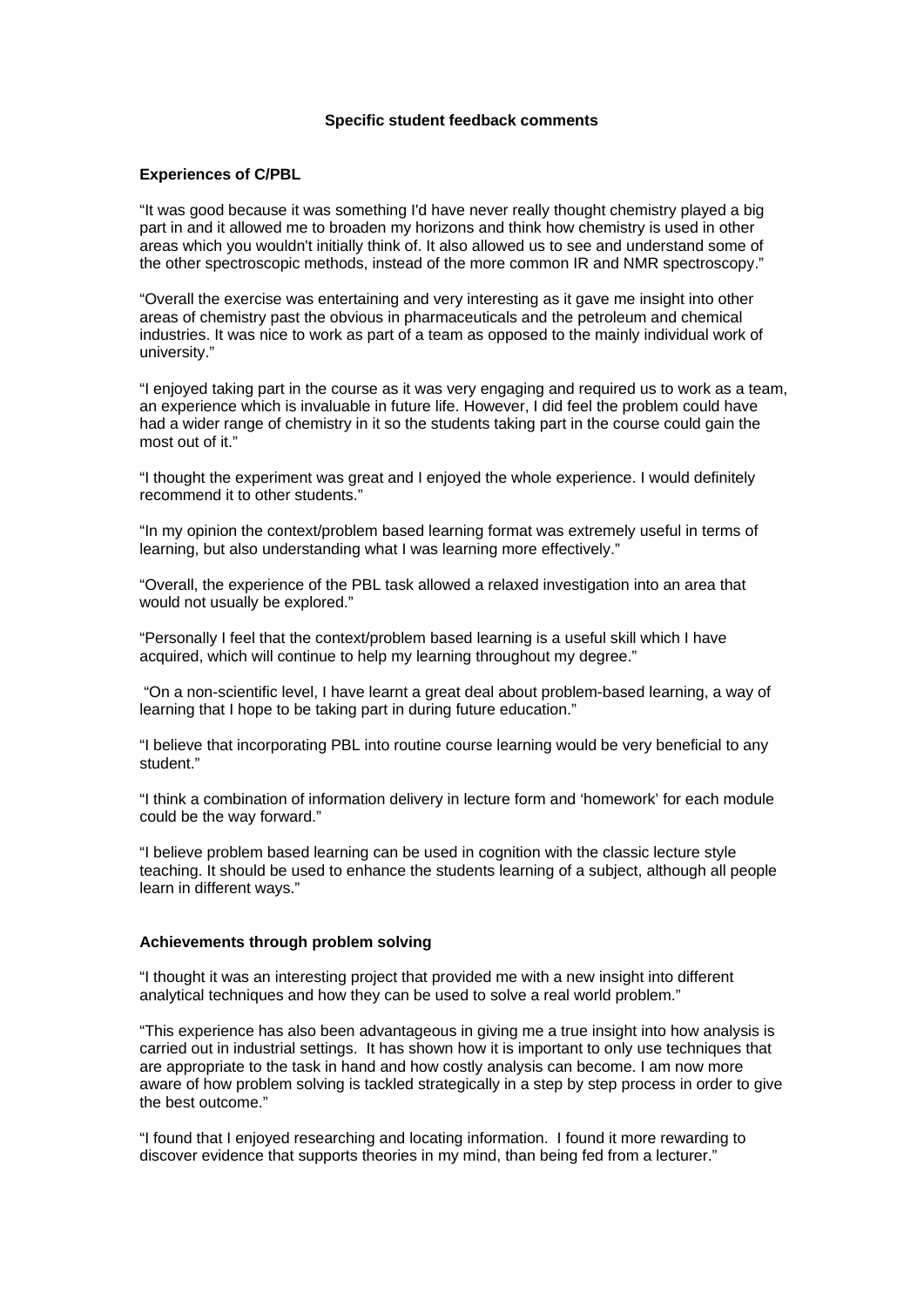#### **Specific student feedback comments**

#### **Experiences of C/PBL**

"It was good because it was something I'd have never really thought chemistry played a big part in and it allowed me to broaden my horizons and think how chemistry is used in other areas which you wouldn't initially think of. It also allowed us to see and understand some of the other spectroscopic methods, instead of the more common IR and NMR spectroscopy."

"Overall the exercise was entertaining and very interesting as it gave me insight into other areas of chemistry past the obvious in pharmaceuticals and the petroleum and chemical industries. It was nice to work as part of a team as opposed to the mainly individual work of university."

"I enjoyed taking part in the course as it was very engaging and required us to work as a team, an experience which is invaluable in future life. However, I did feel the problem could have had a wider range of chemistry in it so the students taking part in the course could gain the most out of it."

"I thought the experiment was great and I enjoyed the whole experience. I would definitely recommend it to other students."

"In my opinion the context/problem based learning format was extremely useful in terms of learning, but also understanding what I was learning more effectively."

"Overall, the experience of the PBL task allowed a relaxed investigation into an area that would not usually be explored."

"Personally I feel that the context/problem based learning is a useful skill which I have acquired, which will continue to help my learning throughout my degree."

 "On a non-scientific level, I have learnt a great deal about problem-based learning, a way of learning that I hope to be taking part in during future education."

"I believe that incorporating PBL into routine course learning would be very beneficial to any student."

"I think a combination of information delivery in lecture form and 'homework' for each module could be the way forward."

"I believe problem based learning can be used in cognition with the classic lecture style teaching. It should be used to enhance the students learning of a subject, although all people learn in different ways."

#### **Achievements through problem solving**

"I thought it was an interesting project that provided me with a new insight into different analytical techniques and how they can be used to solve a real world problem."

"This experience has also been advantageous in giving me a true insight into how analysis is carried out in industrial settings. It has shown how it is important to only use techniques that are appropriate to the task in hand and how costly analysis can become. I am now more aware of how problem solving is tackled strategically in a step by step process in order to give the best outcome."

"I found that I enjoyed researching and locating information. I found it more rewarding to discover evidence that supports theories in my mind, than being fed from a lecturer."